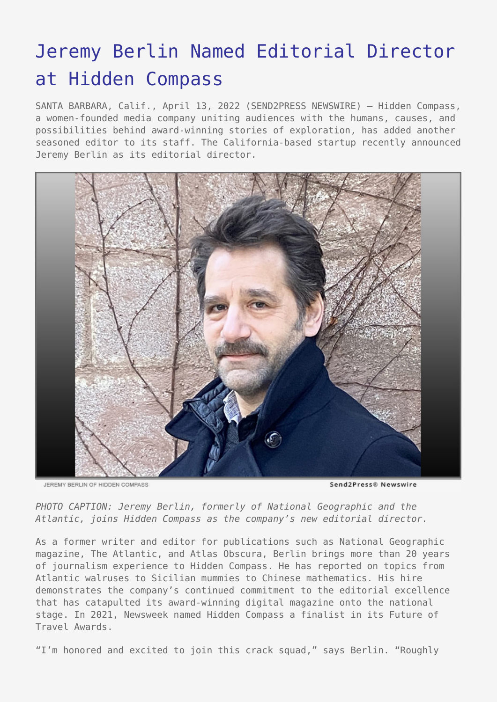## [Jeremy Berlin Named Editorial Director](https://www.send2press.com/wire/jeremy-berlin-named-editorial-director-at-hidden-compass/) [at Hidden Compass](https://www.send2press.com/wire/jeremy-berlin-named-editorial-director-at-hidden-compass/)

SANTA BARBARA, Calif., April 13, 2022 (SEND2PRESS NEWSWIRE) — Hidden Compass, a women-founded media company uniting audiences with the humans, causes, and possibilities behind award-winning stories of exploration, has added another seasoned editor to its staff. The California-based startup recently announced Jeremy Berlin as its editorial director.



JEREMY BERLIN OF HIDDEN COMPASS

Send2Press® Newswire

*PHOTO CAPTION: Jeremy Berlin, formerly of National Geographic and the Atlantic, joins Hidden Compass as the company's new editorial director.*

As a former writer and editor for publications such as National Geographic magazine, The Atlantic, and Atlas Obscura, Berlin brings more than 20 years of journalism experience to Hidden Compass. He has reported on topics from Atlantic walruses to Sicilian mummies to Chinese mathematics. His hire demonstrates the company's continued commitment to the editorial excellence that has catapulted its award-winning digital magazine onto the national stage. In 2021, Newsweek named Hidden Compass a finalist in its Future of Travel Awards.

"I'm honored and excited to join this crack squad," says Berlin. "Roughly